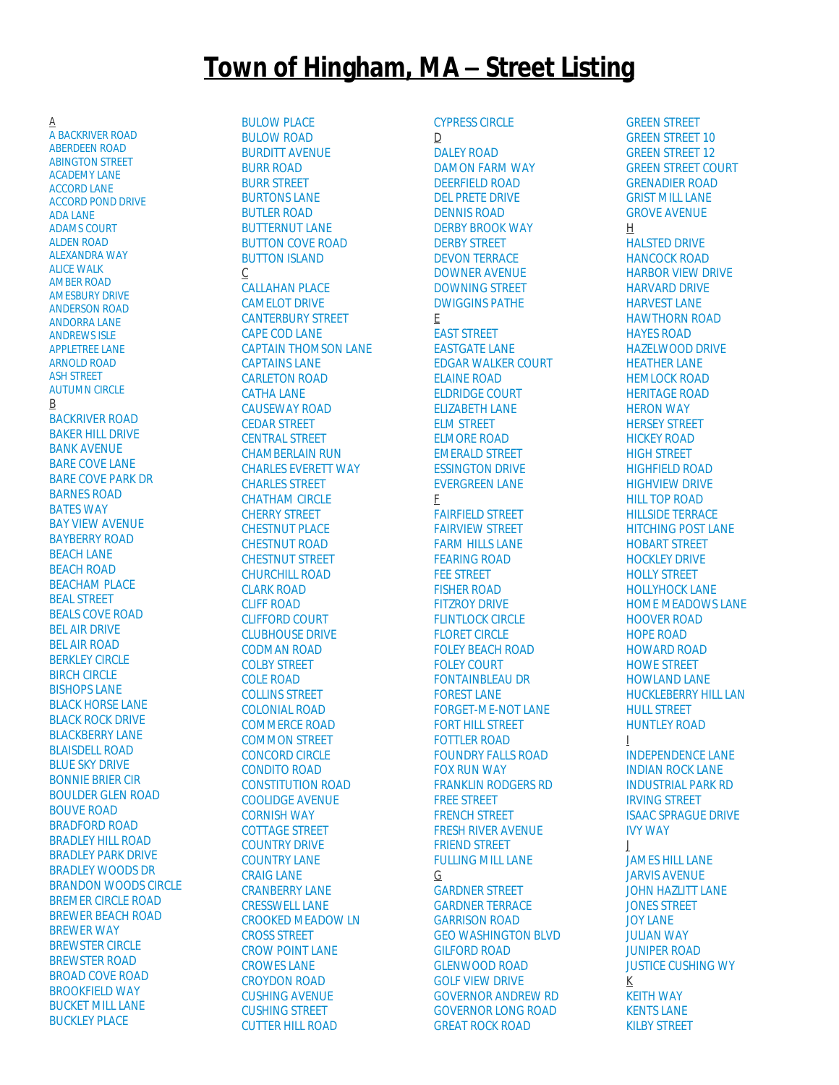## **Town of Hingham, MA – Street Listing**

A [A BACKRIVER ROAD](http://gis.vgsi.com/Hinghamma/Streets.aspx?Name=A%20BACKRIVER%20ROAD) [ABERDEEN ROAD](http://gis.vgsi.com/Hinghamma/Streets.aspx?Name=ABERDEEN%20ROAD) [ABINGTON STREET](http://gis.vgsi.com/Hinghamma/Streets.aspx?Name=ABINGTON%20STREET) [ACADEMY LANE](http://gis.vgsi.com/Hinghamma/Streets.aspx?Name=ACADEMY%20LANE) [ACCORD LANE](http://gis.vgsi.com/Hinghamma/Streets.aspx?Name=ACCORD%20LANE) [ACCORD POND DRIVE](http://gis.vgsi.com/Hinghamma/Streets.aspx?Name=ACCORD%20POND%20DRIVE) [ADA LANE](http://gis.vgsi.com/Hinghamma/Streets.aspx?Name=ADA%20LANE) [ADAMS COURT](http://gis.vgsi.com/Hinghamma/Streets.aspx?Name=ADAMS%20COURT) [ALDEN ROAD](http://gis.vgsi.com/Hinghamma/Streets.aspx?Name=ALDEN%20ROAD) [ALEXANDRA WAY](http://gis.vgsi.com/Hinghamma/Streets.aspx?Name=ALEXANDRA%20WAY) [ALICE WALK](http://gis.vgsi.com/Hinghamma/Streets.aspx?Name=ALICE%20WALK) [AMBER ROAD](http://gis.vgsi.com/Hinghamma/Streets.aspx?Name=AMBER%20ROAD) [AMESBURY DRIVE](http://gis.vgsi.com/Hinghamma/Streets.aspx?Name=AMESBURY%20DRIVE) [ANDERSON ROAD](http://gis.vgsi.com/Hinghamma/Streets.aspx?Name=ANDERSON%20ROAD) [ANDORRA LANE](http://gis.vgsi.com/Hinghamma/Streets.aspx?Name=ANDORRA%20LANE) [ANDREWS ISLE](http://gis.vgsi.com/Hinghamma/Streets.aspx?Name=ANDREWS%20ISLE) [APPLETREE LANE](http://gis.vgsi.com/Hinghamma/Streets.aspx?Name=APPLETREE%20LANE) [ARNOLD ROAD](http://gis.vgsi.com/Hinghamma/Streets.aspx?Name=ARNOLD%20ROAD) [ASH STREET](http://gis.vgsi.com/Hinghamma/Streets.aspx?Name=ASH%20STREET) [AUTUMN CIRCLE](http://gis.vgsi.com/Hinghamma/Streets.aspx?Name=AUTUMN%20CIRCLE) B [BACKRIVER ROAD](http://gis.vgsi.com/Hinghamma/Streets.aspx?Name=BACKRIVER%20ROAD) [BAKER HILL DRIVE](http://gis.vgsi.com/Hinghamma/Streets.aspx?Name=BAKER%20HILL%20DRIVE) [BANK AVENUE](http://gis.vgsi.com/Hinghamma/Streets.aspx?Name=BANK%20AVENUE) [BARE COVE LANE](http://gis.vgsi.com/Hinghamma/Streets.aspx?Name=BARE%20COVE%20LANE) [BARE COVE PARK DR](http://gis.vgsi.com/Hinghamma/Streets.aspx?Name=BARE%20COVE%20PARK%20DR) [BARNES ROAD](http://gis.vgsi.com/Hinghamma/Streets.aspx?Name=BARNES%20ROAD) [BATES WAY](http://gis.vgsi.com/Hinghamma/Streets.aspx?Name=BATES%20WAY) [BAY VIEW AVENUE](http://gis.vgsi.com/Hinghamma/Streets.aspx?Name=BAY%20VIEW%20AVENUE) [BAYBERRY ROAD](http://gis.vgsi.com/Hinghamma/Streets.aspx?Name=BAYBERRY%20ROAD) **[BEACH LANE](http://gis.vgsi.com/Hinghamma/Streets.aspx?Name=BEACH%20LANE)** [BEACH ROAD](http://gis.vgsi.com/Hinghamma/Streets.aspx?Name=BEACH%20ROAD) [BEACHAM PLACE](http://gis.vgsi.com/Hinghamma/Streets.aspx?Name=BEACHAM%20PLACE) [BEAL STREET](http://gis.vgsi.com/Hinghamma/Streets.aspx?Name=BEAL%20STREET) [BEALS COVE ROAD](http://gis.vgsi.com/Hinghamma/Streets.aspx?Name=BEALS%20COVE%20ROAD) [BEL AIR DRIVE](http://gis.vgsi.com/Hinghamma/Streets.aspx?Name=BEL%20AIR%20DRIVE) [BEL AIR ROAD](http://gis.vgsi.com/Hinghamma/Streets.aspx?Name=BEL%20AIR%20ROAD) [BERKLEY CIRCLE](http://gis.vgsi.com/Hinghamma/Streets.aspx?Name=BERKLEY%20CIRCLE) [BIRCH CIRCLE](http://gis.vgsi.com/Hinghamma/Streets.aspx?Name=BIRCH%20CIRCLE) [BISHOPS LANE](http://gis.vgsi.com/Hinghamma/Streets.aspx?Name=BISHOPS%20LANE) [BLACK HORSE LANE](http://gis.vgsi.com/Hinghamma/Streets.aspx?Name=BLACK%20HORSE%20LANE) [BLACK ROCK DRIVE](http://gis.vgsi.com/Hinghamma/Streets.aspx?Name=BLACK%20ROCK%20DRIVE) [BLACKBERRY LANE](http://gis.vgsi.com/Hinghamma/Streets.aspx?Name=BLACKBERRY%20LANE) [BLAISDELL ROAD](http://gis.vgsi.com/Hinghamma/Streets.aspx?Name=BLAISDELL%20ROAD) [BLUE SKY DRIVE](http://gis.vgsi.com/Hinghamma/Streets.aspx?Name=BLUE%20SKY%20DRIVE) [BONNIE BRIER CIR](http://gis.vgsi.com/Hinghamma/Streets.aspx?Name=BONNIE%20BRIER%20CIR) [BOULDER GLEN ROAD](http://gis.vgsi.com/Hinghamma/Streets.aspx?Name=BOULDER%20GLEN%20ROAD) [BOUVE ROAD](http://gis.vgsi.com/Hinghamma/Streets.aspx?Name=BOUVE%20ROAD) [BRADFORD ROAD](http://gis.vgsi.com/Hinghamma/Streets.aspx?Name=BRADFORD%20ROAD) [BRADLEY HILL ROAD](http://gis.vgsi.com/Hinghamma/Streets.aspx?Name=BRADLEY%20HILL%20ROAD) [BRADLEY PARK DRIVE](http://gis.vgsi.com/Hinghamma/Streets.aspx?Name=BRADLEY%20PARK%20DRIVE) [BRADLEY WOODS DR](http://gis.vgsi.com/Hinghamma/Streets.aspx?Name=BRADLEY%20WOODS%20DR) [BRANDON WOODS CIRCLE](http://gis.vgsi.com/Hinghamma/Streets.aspx?Name=BRANDON%20WOODS%20CIRCLE) [BREMER CIRCLE ROAD](http://gis.vgsi.com/Hinghamma/Streets.aspx?Name=BREMER%20CIRCLE%20ROAD) [BREWER BEACH ROAD](http://gis.vgsi.com/Hinghamma/Streets.aspx?Name=BREWER%20BEACH%20ROAD) [BREWER WAY](http://gis.vgsi.com/Hinghamma/Streets.aspx?Name=BREWER%20WAY) [BREWSTER CIRCLE](http://gis.vgsi.com/Hinghamma/Streets.aspx?Name=BREWSTER%20CIRCLE) [BREWSTER ROAD](http://gis.vgsi.com/Hinghamma/Streets.aspx?Name=BREWSTER%20ROAD) [BROAD COVE ROAD](http://gis.vgsi.com/Hinghamma/Streets.aspx?Name=BROAD%20COVE%20ROAD) [BROOKFIELD WAY](http://gis.vgsi.com/Hinghamma/Streets.aspx?Name=BROOKFIELD%20WAY) [BUCKET MILL LANE](http://gis.vgsi.com/Hinghamma/Streets.aspx?Name=BUCKET%20MILL%20LANE) **[BUCKLEY PLACE](http://gis.vgsi.com/Hinghamma/Streets.aspx?Name=BUCKLEY%20PLACE)** 

[BULOW PLACE](http://gis.vgsi.com/Hinghamma/Streets.aspx?Name=BULOW%20PLACE) [BULOW ROAD](http://gis.vgsi.com/Hinghamma/Streets.aspx?Name=BULOW%20ROAD) [BURDITT AVENUE](http://gis.vgsi.com/Hinghamma/Streets.aspx?Name=BURDITT%20AVENUE) [BURR ROAD](http://gis.vgsi.com/Hinghamma/Streets.aspx?Name=BURR%20ROAD) [BURR STREET](http://gis.vgsi.com/Hinghamma/Streets.aspx?Name=BURR%20STREET) [BURTONS LANE](http://gis.vgsi.com/Hinghamma/Streets.aspx?Name=BURTONS%20LANE) [BUTLER ROAD](http://gis.vgsi.com/Hinghamma/Streets.aspx?Name=BUTLER%20ROAD) **[BUTTERNUT LANE](http://gis.vgsi.com/Hinghamma/Streets.aspx?Name=BUTTERNUT%20LANE)** [BUTTON COVE ROAD](http://gis.vgsi.com/Hinghamma/Streets.aspx?Name=BUTTON%20COVE%20ROAD) [BUTTON ISLAND](http://gis.vgsi.com/Hinghamma/Streets.aspx?Name=BUTTON%20ISLAND) C [CALLAHAN PLACE](http://gis.vgsi.com/Hinghamma/Streets.aspx?Name=CALLAHAN%20PLACE) [CAMELOT DRIVE](http://gis.vgsi.com/Hinghamma/Streets.aspx?Name=CAMELOT%20DRIVE) [CANTERBURY STREET](http://gis.vgsi.com/Hinghamma/Streets.aspx?Name=CANTERBURY%20STREET) [CAPE COD LANE](http://gis.vgsi.com/Hinghamma/Streets.aspx?Name=CAPE%20COD%20LANE) [CAPTAIN THOMSON LANE](http://gis.vgsi.com/Hinghamma/Streets.aspx?Name=CAPTAIN%20THOMSON%20LANE) [CAPTAINS LANE](http://gis.vgsi.com/Hinghamma/Streets.aspx?Name=CAPTAINS%20LANE) [CARLETON ROAD](http://gis.vgsi.com/Hinghamma/Streets.aspx?Name=CARLETON%20ROAD) [CATHA LANE](http://gis.vgsi.com/Hinghamma/Streets.aspx?Name=CATHA%20LANE) [CAUSEWAY ROAD](http://gis.vgsi.com/Hinghamma/Streets.aspx?Name=CAUSEWAY%20ROAD) [CEDAR STREET](http://gis.vgsi.com/Hinghamma/Streets.aspx?Name=CEDAR%20STREET) [CENTRAL STREET](http://gis.vgsi.com/Hinghamma/Streets.aspx?Name=CENTRAL%20STREET) [CHAMBERLAIN RUN](http://gis.vgsi.com/Hinghamma/Streets.aspx?Name=CHAMBERLAIN%20RUN) [CHARLES EVERETT WAY](http://gis.vgsi.com/Hinghamma/Streets.aspx?Name=CHARLES%20EVERETT%20WAY) [CHARLES STREET](http://gis.vgsi.com/Hinghamma/Streets.aspx?Name=CHARLES%20STREET) [CHATHAM CIRCLE](http://gis.vgsi.com/Hinghamma/Streets.aspx?Name=CHATHAM%20CIRCLE) [CHERRY STREET](http://gis.vgsi.com/Hinghamma/Streets.aspx?Name=CHERRY%20STREET) [CHESTNUT PLACE](http://gis.vgsi.com/Hinghamma/Streets.aspx?Name=CHESTNUT%20PLACE) [CHESTNUT ROAD](http://gis.vgsi.com/Hinghamma/Streets.aspx?Name=CHESTNUT%20ROAD) [CHESTNUT STREET](http://gis.vgsi.com/Hinghamma/Streets.aspx?Name=CHESTNUT%20STREET) [CHURCHILL ROAD](http://gis.vgsi.com/Hinghamma/Streets.aspx?Name=CHURCHILL%20ROAD) [CLARK ROAD](http://gis.vgsi.com/Hinghamma/Streets.aspx?Name=CLARK%20ROAD) [CLIFF ROAD](http://gis.vgsi.com/Hinghamma/Streets.aspx?Name=CLIFF%20ROAD) [CLIFFORD COURT](http://gis.vgsi.com/Hinghamma/Streets.aspx?Name=CLIFFORD%20COURT) [CLUBHOUSE DRIVE](http://gis.vgsi.com/Hinghamma/Streets.aspx?Name=CLUBHOUSE%20DRIVE) [CODMAN ROAD](http://gis.vgsi.com/Hinghamma/Streets.aspx?Name=CODMAN%20ROAD) [COLBY STREET](http://gis.vgsi.com/Hinghamma/Streets.aspx?Name=COLBY%20STREET) [COLE ROAD](http://gis.vgsi.com/Hinghamma/Streets.aspx?Name=COLE%20ROAD) [COLLINS STREET](http://gis.vgsi.com/Hinghamma/Streets.aspx?Name=COLLINS%20STREET) [COLONIAL ROAD](http://gis.vgsi.com/Hinghamma/Streets.aspx?Name=COLONIAL%20ROAD) [COMMERCE ROAD](http://gis.vgsi.com/Hinghamma/Streets.aspx?Name=COMMERCE%20ROAD) [COMMON STREET](http://gis.vgsi.com/Hinghamma/Streets.aspx?Name=COMMON%20STREET) [CONCORD CIRCLE](http://gis.vgsi.com/Hinghamma/Streets.aspx?Name=CONCORD%20CIRCLE) [CONDITO ROAD](http://gis.vgsi.com/Hinghamma/Streets.aspx?Name=CONDITO%20ROAD) [CONSTITUTION ROAD](http://gis.vgsi.com/Hinghamma/Streets.aspx?Name=CONSTITUTION%20ROAD) [COOLIDGE AVENUE](http://gis.vgsi.com/Hinghamma/Streets.aspx?Name=COOLIDGE%20AVENUE) [CORNISH WAY](http://gis.vgsi.com/Hinghamma/Streets.aspx?Name=CORNISH%20WAY) [COTTAGE STREET](http://gis.vgsi.com/Hinghamma/Streets.aspx?Name=COTTAGE%20STREET) [COUNTRY DRIVE](http://gis.vgsi.com/Hinghamma/Streets.aspx?Name=COUNTRY%20DRIVE) [COUNTRY LANE](http://gis.vgsi.com/Hinghamma/Streets.aspx?Name=COUNTRY%20LANE) [CRAIG LANE](http://gis.vgsi.com/Hinghamma/Streets.aspx?Name=CRAIG%20LANE) [CRANBERRY LANE](http://gis.vgsi.com/Hinghamma/Streets.aspx?Name=CRANBERRY%20LANE) [CRESSWELL LANE](http://gis.vgsi.com/Hinghamma/Streets.aspx?Name=CRESSWELL%20LANE) [CROOKED MEADOW LN](http://gis.vgsi.com/Hinghamma/Streets.aspx?Name=CROOKED%20MEADOW%20LN) [CROSS STREET](http://gis.vgsi.com/Hinghamma/Streets.aspx?Name=CROSS%20STREET) [CROW POINT LANE](http://gis.vgsi.com/Hinghamma/Streets.aspx?Name=CROW%20POINT%20LANE) [CROWES LANE](http://gis.vgsi.com/Hinghamma/Streets.aspx?Name=CROWES%20LANE) [CROYDON ROAD](http://gis.vgsi.com/Hinghamma/Streets.aspx?Name=CROYDON%20ROAD) [CUSHING AVENUE](http://gis.vgsi.com/Hinghamma/Streets.aspx?Name=CUSHING%20AVENUE) [CUSHING STREET](http://gis.vgsi.com/Hinghamma/Streets.aspx?Name=CUSHING%20STREET)

[CUTTER HILL ROAD](http://gis.vgsi.com/Hinghamma/Streets.aspx?Name=CUTTER%20HILL%20ROAD)

[CYPRESS CIRCLE](http://gis.vgsi.com/Hinghamma/Streets.aspx?Name=CYPRESS%20CIRCLE) D [DALEY ROAD](http://gis.vgsi.com/Hinghamma/Streets.aspx?Name=DALEY%20ROAD) [DAMON FARM WAY](http://gis.vgsi.com/Hinghamma/Streets.aspx?Name=DAMON%20FARM%20WAY) [DEERFIELD ROAD](http://gis.vgsi.com/Hinghamma/Streets.aspx?Name=DEERFIELD%20ROAD) [DEL PRETE DRIVE](http://gis.vgsi.com/Hinghamma/Streets.aspx?Name=DEL%20PRETE%20DRIVE) [DENNIS ROAD](http://gis.vgsi.com/Hinghamma/Streets.aspx?Name=DENNIS%20ROAD) [DERBY BROOK WAY](http://gis.vgsi.com/Hinghamma/Streets.aspx?Name=DERBY%20BROOK%20WAY) [DERBY STREET](http://gis.vgsi.com/Hinghamma/Streets.aspx?Name=DERBY%20STREET) [DEVON TERRACE](http://gis.vgsi.com/Hinghamma/Streets.aspx?Name=DEVON%20TERRACE) [DOWNER AVENUE](http://gis.vgsi.com/Hinghamma/Streets.aspx?Name=DOWNER%20AVENUE) [DOWNING STREET](http://gis.vgsi.com/Hinghamma/Streets.aspx?Name=DOWNING%20STREET) [DWIGGINS PATHE](http://gis.vgsi.com/Hinghamma/Streets.aspx?Name=DWIGGINS%20PATHE) E [EAST STREET](http://gis.vgsi.com/Hinghamma/Streets.aspx?Name=EAST%20STREET) [EASTGATE LANE](http://gis.vgsi.com/Hinghamma/Streets.aspx?Name=EASTGATE%20LANE) [EDGAR WALKER COURT](http://gis.vgsi.com/Hinghamma/Streets.aspx?Name=EDGAR%20WALKER%20COURT) [ELAINE ROAD](http://gis.vgsi.com/Hinghamma/Streets.aspx?Name=ELAINE%20ROAD) [ELDRIDGE COURT](http://gis.vgsi.com/Hinghamma/Streets.aspx?Name=ELDRIDGE%20COURT) [ELIZABETH LANE](http://gis.vgsi.com/Hinghamma/Streets.aspx?Name=ELIZABETH%20LANE) [ELM STREET](http://gis.vgsi.com/Hinghamma/Streets.aspx?Name=ELM%20STREET) [ELMORE ROAD](http://gis.vgsi.com/Hinghamma/Streets.aspx?Name=ELMORE%20ROAD) [EMERALD STREET](http://gis.vgsi.com/Hinghamma/Streets.aspx?Name=EMERALD%20STREET) [ESSINGTON DRIVE](http://gis.vgsi.com/Hinghamma/Streets.aspx?Name=ESSINGTON%20DRIVE) [EVERGREEN LANE](http://gis.vgsi.com/Hinghamma/Streets.aspx?Name=EVERGREEN%20LANE) F [FAIRFIELD STREET](http://gis.vgsi.com/Hinghamma/Streets.aspx?Name=FAIRFIELD%20STREET) [FAIRVIEW STREET](http://gis.vgsi.com/Hinghamma/Streets.aspx?Name=FAIRVIEW%20STREET) [FARM HILLS LANE](http://gis.vgsi.com/Hinghamma/Streets.aspx?Name=FARM%20HILLS%20LANE) [FEARING ROAD](http://gis.vgsi.com/Hinghamma/Streets.aspx?Name=FEARING%20ROAD) [FEE STREET](http://gis.vgsi.com/Hinghamma/Streets.aspx?Name=FEE%20STREET) [FISHER ROAD](http://gis.vgsi.com/Hinghamma/Streets.aspx?Name=FISHER%20ROAD) [FITZROY DRIVE](http://gis.vgsi.com/Hinghamma/Streets.aspx?Name=FITZROY%20DRIVE) [FLINTLOCK CIRCLE](http://gis.vgsi.com/Hinghamma/Streets.aspx?Name=FLINTLOCK%20CIRCLE) [FLORET CIRCLE](http://gis.vgsi.com/Hinghamma/Streets.aspx?Name=FLORET%20CIRCLE) [FOLEY BEACH ROAD](http://gis.vgsi.com/Hinghamma/Streets.aspx?Name=FOLEY%20BEACH%20ROAD) [FOLEY COURT](http://gis.vgsi.com/Hinghamma/Streets.aspx?Name=FOLEY%20COURT) [FONTAINBLEAU DR](http://gis.vgsi.com/Hinghamma/Streets.aspx?Name=FONTAINBLEAU%20DR) [FOREST LANE](http://gis.vgsi.com/Hinghamma/Streets.aspx?Name=FOREST%20LANE) [FORGET-ME-NOT LANE](http://gis.vgsi.com/Hinghamma/Streets.aspx?Name=FORGET-ME-NOT%20LANE) [FORT HILL STREET](http://gis.vgsi.com/Hinghamma/Streets.aspx?Name=FORT%20HILL%20STREET) [FOTTLER ROAD](http://gis.vgsi.com/Hinghamma/Streets.aspx?Name=FOTTLER%20ROAD) [FOUNDRY FALLS ROAD](http://gis.vgsi.com/Hinghamma/Streets.aspx?Name=FOUNDRY%20FALLS%20ROAD) [FOX RUN WAY](http://gis.vgsi.com/Hinghamma/Streets.aspx?Name=FOX%20RUN%20WAY) [FRANKLIN RODGERS RD](http://gis.vgsi.com/Hinghamma/Streets.aspx?Name=FRANKLIN%20RODGERS%20RD) [FREE STREET](http://gis.vgsi.com/Hinghamma/Streets.aspx?Name=FREE%20STREET) [FRENCH STREET](http://gis.vgsi.com/Hinghamma/Streets.aspx?Name=FRENCH%20STREET) [FRESH RIVER AVENUE](http://gis.vgsi.com/Hinghamma/Streets.aspx?Name=FRESH%20RIVER%20AVENUE) [FRIEND STREET](http://gis.vgsi.com/Hinghamma/Streets.aspx?Name=FRIEND%20STREET) [FULLING MILL LANE](http://gis.vgsi.com/Hinghamma/Streets.aspx?Name=FULLING%20MILL%20LANE) G [GARDNER STREET](http://gis.vgsi.com/Hinghamma/Streets.aspx?Name=GARDNER%20STREET) [GARDNER TERRACE](http://gis.vgsi.com/Hinghamma/Streets.aspx?Name=GARDNER%20TERRACE) [GARRISON ROAD](http://gis.vgsi.com/Hinghamma/Streets.aspx?Name=GARRISON%20ROAD) [GEO WASHINGTON BLVD](http://gis.vgsi.com/Hinghamma/Streets.aspx?Name=GEO%20WASHINGTON%20BLVD) [GILFORD ROAD](http://gis.vgsi.com/Hinghamma/Streets.aspx?Name=GILFORD%20ROAD) [GLENWOOD ROAD](http://gis.vgsi.com/Hinghamma/Streets.aspx?Name=GLENWOOD%20ROAD) [GOLF VIEW DRIVE](http://gis.vgsi.com/Hinghamma/Streets.aspx?Name=GOLF%20VIEW%20DRIVE) [GOVERNOR ANDREW RD](http://gis.vgsi.com/Hinghamma/Streets.aspx?Name=GOVERNOR%20ANDREW%20RD) [GOVERNOR LONG ROAD](http://gis.vgsi.com/Hinghamma/Streets.aspx?Name=GOVERNOR%20LONG%20ROAD) [GREAT ROCK ROAD](http://gis.vgsi.com/Hinghamma/Streets.aspx?Name=GREAT%20ROCK%20ROAD)

[GREEN STREET](http://gis.vgsi.com/Hinghamma/Streets.aspx?Name=GREEN%20STREET) [GREEN STREET 10](http://gis.vgsi.com/Hinghamma/Streets.aspx?Name=GREEN%20STREET%2010) [GREEN STREET 12](http://gis.vgsi.com/Hinghamma/Streets.aspx?Name=GREEN%20STREET%2012) [GREEN STREET COURT](http://gis.vgsi.com/Hinghamma/Streets.aspx?Name=GREEN%20STREET%20COURT) [GRENADIER ROAD](http://gis.vgsi.com/Hinghamma/Streets.aspx?Name=GRENADIER%20ROAD) [GRIST MILL LANE](http://gis.vgsi.com/Hinghamma/Streets.aspx?Name=GRIST%20MILL%20LANE) [GROVE AVENUE](http://gis.vgsi.com/Hinghamma/Streets.aspx?Name=GROVE%20AVENUE) H [HALSTED DRIVE](http://gis.vgsi.com/Hinghamma/Streets.aspx?Name=HALSTED%20DRIVE) [HANCOCK ROAD](http://gis.vgsi.com/Hinghamma/Streets.aspx?Name=HANCOCK%20ROAD) [HARBOR VIEW DRIVE](http://gis.vgsi.com/Hinghamma/Streets.aspx?Name=HARBOR%20VIEW%20DRIVE) [HARVARD DRIVE](http://gis.vgsi.com/Hinghamma/Streets.aspx?Name=HARVARD%20DRIVE) [HARVEST LANE](http://gis.vgsi.com/Hinghamma/Streets.aspx?Name=HARVEST%20LANE) [HAWTHORN ROAD](http://gis.vgsi.com/Hinghamma/Streets.aspx?Name=HAWTHORN%20ROAD) [HAYES ROAD](http://gis.vgsi.com/Hinghamma/Streets.aspx?Name=HAYES%20ROAD) [HAZELWOOD DRIVE](http://gis.vgsi.com/Hinghamma/Streets.aspx?Name=HAZELWOOD%20DRIVE) [HEATHER LANE](http://gis.vgsi.com/Hinghamma/Streets.aspx?Name=HEATHER%20LANE) [HEMLOCK ROAD](http://gis.vgsi.com/Hinghamma/Streets.aspx?Name=HEMLOCK%20ROAD) [HERITAGE ROAD](http://gis.vgsi.com/Hinghamma/Streets.aspx?Name=HERITAGE%20ROAD) [HERON WAY](http://gis.vgsi.com/Hinghamma/Streets.aspx?Name=HERON%20WAY) [HERSEY STREET](http://gis.vgsi.com/Hinghamma/Streets.aspx?Name=HERSEY%20STREET) [HICKEY ROAD](http://gis.vgsi.com/Hinghamma/Streets.aspx?Name=HICKEY%20ROAD) [HIGH STREET](http://gis.vgsi.com/Hinghamma/Streets.aspx?Name=HIGH%20STREET) [HIGHFIELD ROAD](http://gis.vgsi.com/Hinghamma/Streets.aspx?Name=HIGHFIELD%20ROAD) [HIGHVIEW DRIVE](http://gis.vgsi.com/Hinghamma/Streets.aspx?Name=HIGHVIEW%20DRIVE) [HILL TOP ROAD](http://gis.vgsi.com/Hinghamma/Streets.aspx?Name=HILL%20TOP%20ROAD) [HILLSIDE TERRACE](http://gis.vgsi.com/Hinghamma/Streets.aspx?Name=HILLSIDE%20TERRACE) [HITCHING POST LANE](http://gis.vgsi.com/Hinghamma/Streets.aspx?Name=HITCHING%20POST%20LANE) [HOBART STREET](http://gis.vgsi.com/Hinghamma/Streets.aspx?Name=HOBART%20STREET) [HOCKLEY DRIVE](http://gis.vgsi.com/Hinghamma/Streets.aspx?Name=HOCKLEY%20DRIVE) [HOLLY STREET](http://gis.vgsi.com/Hinghamma/Streets.aspx?Name=HOLLY%20STREET) [HOLLYHOCK LANE](http://gis.vgsi.com/Hinghamma/Streets.aspx?Name=HOLLYHOCK%20LANE) [HOME MEADOWS LANE](http://gis.vgsi.com/Hinghamma/Streets.aspx?Name=HOME%20MEADOWS%20LANE) [HOOVER ROAD](http://gis.vgsi.com/Hinghamma/Streets.aspx?Name=HOOVER%20ROAD) [HOPE ROAD](http://gis.vgsi.com/Hinghamma/Streets.aspx?Name=HOPE%20ROAD) [HOWARD ROAD](http://gis.vgsi.com/Hinghamma/Streets.aspx?Name=HOWARD%20ROAD) [HOWE STREET](http://gis.vgsi.com/Hinghamma/Streets.aspx?Name=HOWE%20STREET) [HOWLAND LANE](http://gis.vgsi.com/Hinghamma/Streets.aspx?Name=HOWLAND%20LANE) [HUCKLEBERRY HILL LAN](http://gis.vgsi.com/Hinghamma/Streets.aspx?Name=HUCKLEBERRY%20HILL%20LAN) [HULL STREET](http://gis.vgsi.com/Hinghamma/Streets.aspx?Name=HULL%20STREET) [HUNTLEY ROAD](http://gis.vgsi.com/Hinghamma/Streets.aspx?Name=HUNTLEY%20ROAD) I [INDEPENDENCE LANE](http://gis.vgsi.com/Hinghamma/Streets.aspx?Name=INDEPENDENCE%20LANE) [INDIAN ROCK LANE](http://gis.vgsi.com/Hinghamma/Streets.aspx?Name=INDIAN%20ROCK%20LANE) [INDUSTRIAL PARK RD](http://gis.vgsi.com/Hinghamma/Streets.aspx?Name=INDUSTRIAL%20PARK%20RD) [IRVING STREET](http://gis.vgsi.com/Hinghamma/Streets.aspx?Name=IRVING%20STREET) [ISAAC SPRAGUE DRIVE](http://gis.vgsi.com/Hinghamma/Streets.aspx?Name=ISAAC%20SPRAGUE%20DRIVE) [IVY WAY](http://gis.vgsi.com/Hinghamma/Streets.aspx?Name=IVY%20WAY) J [JAMES HILL LANE](http://gis.vgsi.com/Hinghamma/Streets.aspx?Name=JAMES%20HILL%20LANE) [JARVIS AVENUE](http://gis.vgsi.com/Hinghamma/Streets.aspx?Name=JARVIS%20AVENUE) [JOHN HAZLITT LANE](http://gis.vgsi.com/Hinghamma/Streets.aspx?Name=JOHN%20HAZLITT%20LANE) [JONES STREET](http://gis.vgsi.com/Hinghamma/Streets.aspx?Name=JONES%20STREET) [JOY LANE](http://gis.vgsi.com/Hinghamma/Streets.aspx?Name=JOY%20LANE) [JULIAN WAY](http://gis.vgsi.com/Hinghamma/Streets.aspx?Name=JULIAN%20WAY) [JUNIPER ROAD](http://gis.vgsi.com/Hinghamma/Streets.aspx?Name=JUNIPER%20ROAD) [JUSTICE CUSHING WY](http://gis.vgsi.com/Hinghamma/Streets.aspx?Name=JUSTICE%20CUSHING%20WY) K [KEITH WAY](http://gis.vgsi.com/Hinghamma/Streets.aspx?Name=KEITH%20WAY) [KENTS LANE](http://gis.vgsi.com/Hinghamma/Streets.aspx?Name=KENTS%20LANE) [KILBY STREET](http://gis.vgsi.com/Hinghamma/Streets.aspx?Name=KILBY%20STREET)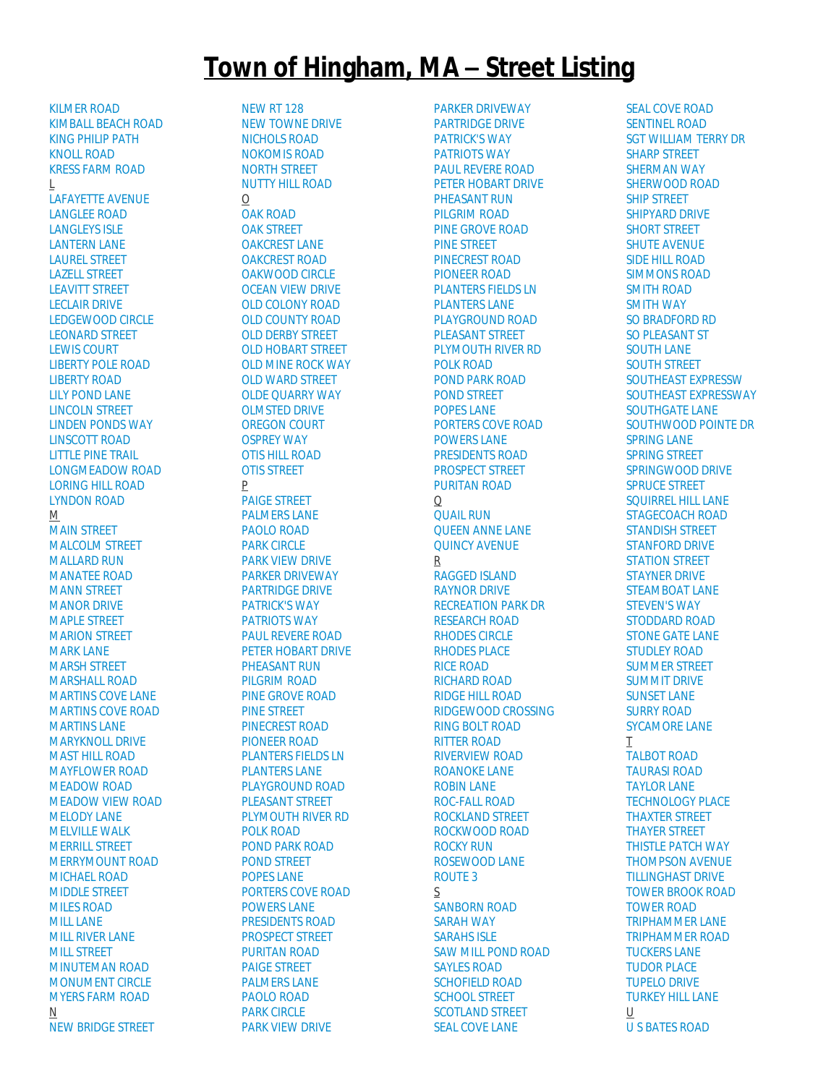## **Town of Hingham, MA – Street Listing**

[KILMER ROAD](http://gis.vgsi.com/Hinghamma/Streets.aspx?Name=KILMER%20ROAD) [KIMBALL BEACH ROAD](http://gis.vgsi.com/Hinghamma/Streets.aspx?Name=KIMBALL%20BEACH%20ROAD) [KING PHILIP PATH](http://gis.vgsi.com/Hinghamma/Streets.aspx?Name=KING%20PHILIP%20PATH) [KNOLL ROAD](http://gis.vgsi.com/Hinghamma/Streets.aspx?Name=KNOLL%20ROAD) [KRESS FARM ROAD](http://gis.vgsi.com/Hinghamma/Streets.aspx?Name=KRESS%20FARM%20ROAD) L [LAFAYETTE AVENUE](http://gis.vgsi.com/Hinghamma/Streets.aspx?Name=LAFAYETTE%20AVENUE) [LANGLEE ROAD](http://gis.vgsi.com/Hinghamma/Streets.aspx?Name=LANGLEE%20ROAD) [LANGLEYS ISLE](http://gis.vgsi.com/Hinghamma/Streets.aspx?Name=LANGLEYS%20ISLE) [LANTERN LANE](http://gis.vgsi.com/Hinghamma/Streets.aspx?Name=LANTERN%20LANE) [LAUREL STREET](http://gis.vgsi.com/Hinghamma/Streets.aspx?Name=LAUREL%20STREET) [LAZELL STREET](http://gis.vgsi.com/Hinghamma/Streets.aspx?Name=LAZELL%20STREET) [LEAVITT STREET](http://gis.vgsi.com/Hinghamma/Streets.aspx?Name=LEAVITT%20STREET) [LECLAIR DRIVE](http://gis.vgsi.com/Hinghamma/Streets.aspx?Name=LECLAIR%20DRIVE) [LEDGEWOOD CIRCLE](http://gis.vgsi.com/Hinghamma/Streets.aspx?Name=LEDGEWOOD%20CIRCLE) [LEONARD STREET](http://gis.vgsi.com/Hinghamma/Streets.aspx?Name=LEONARD%20STREET) [LEWIS COURT](http://gis.vgsi.com/Hinghamma/Streets.aspx?Name=LEWIS%20COURT) [LIBERTY POLE ROAD](http://gis.vgsi.com/Hinghamma/Streets.aspx?Name=LIBERTY%20POLE%20ROAD) [LIBERTY ROAD](http://gis.vgsi.com/Hinghamma/Streets.aspx?Name=LIBERTY%20ROAD) [LILY POND LANE](http://gis.vgsi.com/Hinghamma/Streets.aspx?Name=LILY%20POND%20LANE) [LINCOLN STREET](http://gis.vgsi.com/Hinghamma/Streets.aspx?Name=LINCOLN%20STREET) [LINDEN PONDS WAY](http://gis.vgsi.com/Hinghamma/Streets.aspx?Name=LINDEN%20PONDS%20WAY) [LINSCOTT ROAD](http://gis.vgsi.com/Hinghamma/Streets.aspx?Name=LINSCOTT%20ROAD) [LITTLE PINE TRAIL](http://gis.vgsi.com/Hinghamma/Streets.aspx?Name=LITTLE%20PINE%20TRAIL) [LONGMEADOW ROAD](http://gis.vgsi.com/Hinghamma/Streets.aspx?Name=LONGMEADOW%20ROAD) [LORING HILL ROAD](http://gis.vgsi.com/Hinghamma/Streets.aspx?Name=LORING%20HILL%20ROAD) [LYNDON ROAD](http://gis.vgsi.com/Hinghamma/Streets.aspx?Name=LYNDON%20ROAD)  $M$ [MAIN STREET](http://gis.vgsi.com/Hinghamma/Streets.aspx?Name=MAIN%20STREET) [MALCOLM STREET](http://gis.vgsi.com/Hinghamma/Streets.aspx?Name=MALCOLM%20STREET) [MALLARD RUN](http://gis.vgsi.com/Hinghamma/Streets.aspx?Name=MALLARD%20RUN) [MANATEE ROAD](http://gis.vgsi.com/Hinghamma/Streets.aspx?Name=MANATEE%20ROAD) [MANN STREET](http://gis.vgsi.com/Hinghamma/Streets.aspx?Name=MANN%20STREET) [MANOR DRIVE](http://gis.vgsi.com/Hinghamma/Streets.aspx?Name=MANOR%20DRIVE) [MAPLE STREET](http://gis.vgsi.com/Hinghamma/Streets.aspx?Name=MAPLE%20STREET) [MARION STREET](http://gis.vgsi.com/Hinghamma/Streets.aspx?Name=MARION%20STREET) [MARK LANE](http://gis.vgsi.com/Hinghamma/Streets.aspx?Name=MARK%20LANE) [MARSH STREET](http://gis.vgsi.com/Hinghamma/Streets.aspx?Name=MARSH%20STREET) [MARSHALL ROAD](http://gis.vgsi.com/Hinghamma/Streets.aspx?Name=MARSHALL%20ROAD) [MARTINS COVE LANE](http://gis.vgsi.com/Hinghamma/Streets.aspx?Name=MARTINS%20COVE%20LANE) [MARTINS COVE ROAD](http://gis.vgsi.com/Hinghamma/Streets.aspx?Name=MARTINS%20COVE%20ROAD) [MARTINS LANE](http://gis.vgsi.com/Hinghamma/Streets.aspx?Name=MARTINS%20LANE) [MARYKNOLL DRIVE](http://gis.vgsi.com/Hinghamma/Streets.aspx?Name=MARYKNOLL%20DRIVE) [MAST HILL ROAD](http://gis.vgsi.com/Hinghamma/Streets.aspx?Name=MAST%20HILL%20ROAD) [MAYFLOWER ROAD](http://gis.vgsi.com/Hinghamma/Streets.aspx?Name=MAYFLOWER%20ROAD) [MEADOW ROAD](http://gis.vgsi.com/Hinghamma/Streets.aspx?Name=MEADOW%20ROAD) [MEADOW VIEW ROAD](http://gis.vgsi.com/Hinghamma/Streets.aspx?Name=MEADOW%20VIEW%20ROAD) [MELODY LANE](http://gis.vgsi.com/Hinghamma/Streets.aspx?Name=MELODY%20LANE) [MELVILLE WALK](http://gis.vgsi.com/Hinghamma/Streets.aspx?Name=MELVILLE%20WALK) [MERRILL STREET](http://gis.vgsi.com/Hinghamma/Streets.aspx?Name=MERRILL%20STREET) [MERRYMOUNT ROAD](http://gis.vgsi.com/Hinghamma/Streets.aspx?Name=MERRYMOUNT%20ROAD) [MICHAEL ROAD](http://gis.vgsi.com/Hinghamma/Streets.aspx?Name=MICHAEL%20ROAD) [MIDDLE STREET](http://gis.vgsi.com/Hinghamma/Streets.aspx?Name=MIDDLE%20STREET) [MILES ROAD](http://gis.vgsi.com/Hinghamma/Streets.aspx?Name=MILES%20ROAD) [MILL LANE](http://gis.vgsi.com/Hinghamma/Streets.aspx?Name=MILL%20LANE) [MILL RIVER LANE](http://gis.vgsi.com/Hinghamma/Streets.aspx?Name=MILL%20RIVER%20LANE) [MILL STREET](http://gis.vgsi.com/Hinghamma/Streets.aspx?Name=MILL%20STREET) [MINUTEMAN ROAD](http://gis.vgsi.com/Hinghamma/Streets.aspx?Name=MINUTEMAN%20ROAD) [MONUMENT CIRCLE](http://gis.vgsi.com/Hinghamma/Streets.aspx?Name=MONUMENT%20CIRCLE) [MYERS FARM ROAD](http://gis.vgsi.com/Hinghamma/Streets.aspx?Name=MYERS%20FARM%20ROAD) N [NEW BRIDGE STREET](http://gis.vgsi.com/Hinghamma/Streets.aspx?Name=NEW%20BRIDGE%20STREET)

[NEW RT 128](http://gis.vgsi.com/Hinghamma/Streets.aspx?Name=NEW%20RT%20128) [NEW TOWNE DRIVE](http://gis.vgsi.com/Hinghamma/Streets.aspx?Name=NEW%20TOWNE%20DRIVE) [NICHOLS ROAD](http://gis.vgsi.com/Hinghamma/Streets.aspx?Name=NICHOLS%20ROAD) [NOKOMIS ROAD](http://gis.vgsi.com/Hinghamma/Streets.aspx?Name=NOKOMIS%20ROAD) [NORTH STREET](http://gis.vgsi.com/Hinghamma/Streets.aspx?Name=NORTH%20STREET) [NUTTY HILL ROAD](http://gis.vgsi.com/Hinghamma/Streets.aspx?Name=NUTTY%20HILL%20ROAD)  $\Omega$ [OAK ROAD](http://gis.vgsi.com/Hinghamma/Streets.aspx?Name=OAK%20ROAD) [OAK STREET](http://gis.vgsi.com/Hinghamma/Streets.aspx?Name=OAK%20STREET) [OAKCREST LANE](http://gis.vgsi.com/Hinghamma/Streets.aspx?Name=OAKCREST%20LANE) [OAKCREST ROAD](http://gis.vgsi.com/Hinghamma/Streets.aspx?Name=OAKCREST%20ROAD) [OAKWOOD CIRCLE](http://gis.vgsi.com/Hinghamma/Streets.aspx?Name=OAKWOOD%20CIRCLE) [OCEAN VIEW DRIVE](http://gis.vgsi.com/Hinghamma/Streets.aspx?Name=OCEAN%20VIEW%20DRIVE) [OLD COLONY ROAD](http://gis.vgsi.com/Hinghamma/Streets.aspx?Name=OLD%20COLONY%20ROAD) [OLD COUNTY ROAD](http://gis.vgsi.com/Hinghamma/Streets.aspx?Name=OLD%20COUNTY%20ROAD) [OLD DERBY STREET](http://gis.vgsi.com/Hinghamma/Streets.aspx?Name=OLD%20DERBY%20STREET) [OLD HOBART STREET](http://gis.vgsi.com/Hinghamma/Streets.aspx?Name=OLD%20HOBART%20STREET) [OLD MINE ROCK WAY](http://gis.vgsi.com/Hinghamma/Streets.aspx?Name=OLD%20MINE%20ROCK%20WAY) [OLD WARD STREET](http://gis.vgsi.com/Hinghamma/Streets.aspx?Name=OLD%20WARD%20STREET) [OLDE QUARRY WAY](http://gis.vgsi.com/Hinghamma/Streets.aspx?Name=OLDE%20QUARRY%20WAY) [OLMSTED DRIVE](http://gis.vgsi.com/Hinghamma/Streets.aspx?Name=OLMSTED%20DRIVE) [OREGON COURT](http://gis.vgsi.com/Hinghamma/Streets.aspx?Name=OREGON%20COURT) [OSPREY WAY](http://gis.vgsi.com/Hinghamma/Streets.aspx?Name=OSPREY%20WAY) [OTIS HILL ROAD](http://gis.vgsi.com/Hinghamma/Streets.aspx?Name=OTIS%20HILL%20ROAD) [OTIS STREET](http://gis.vgsi.com/Hinghamma/Streets.aspx?Name=OTIS%20STREET) P [PAIGE STREET](http://gis.vgsi.com/Hinghamma/Streets.aspx?Name=PAIGE%20STREET) [PALMERS LANE](http://gis.vgsi.com/Hinghamma/Streets.aspx?Name=PALMERS%20LANE) [PAOLO ROAD](http://gis.vgsi.com/Hinghamma/Streets.aspx?Name=PAOLO%20ROAD) [PARK CIRCLE](http://gis.vgsi.com/Hinghamma/Streets.aspx?Name=PARK%20CIRCLE) [PARK VIEW DRIVE](http://gis.vgsi.com/Hinghamma/Streets.aspx?Name=PARK%20VIEW%20DRIVE) [PARKER DRIVEWAY](http://gis.vgsi.com/Hinghamma/Streets.aspx?Name=PARKER%20DRIVEWAY) [PARTRIDGE DRIVE](http://gis.vgsi.com/Hinghamma/Streets.aspx?Name=PARTRIDGE%20DRIVE) [PATRICK'S WAY](http://gis.vgsi.com/Hinghamma/Streets.aspx?Name=PATRICK) [PATRIOTS WAY](http://gis.vgsi.com/Hinghamma/Streets.aspx?Name=PATRIOTS%20WAY) [PAUL REVERE ROAD](http://gis.vgsi.com/Hinghamma/Streets.aspx?Name=PAUL%20REVERE%20ROAD) [PETER HOBART DRIVE](http://gis.vgsi.com/Hinghamma/Streets.aspx?Name=PETER%20HOBART%20DRIVE) [PHEASANT RUN](http://gis.vgsi.com/Hinghamma/Streets.aspx?Name=PHEASANT%20RUN) [PILGRIM ROAD](http://gis.vgsi.com/Hinghamma/Streets.aspx?Name=PILGRIM%20ROAD) [PINE GROVE ROAD](http://gis.vgsi.com/Hinghamma/Streets.aspx?Name=PINE%20GROVE%20ROAD) [PINE STREET](http://gis.vgsi.com/Hinghamma/Streets.aspx?Name=PINE%20STREET) [PINECREST ROAD](http://gis.vgsi.com/Hinghamma/Streets.aspx?Name=PINECREST%20ROAD) [PIONEER ROAD](http://gis.vgsi.com/Hinghamma/Streets.aspx?Name=PIONEER%20ROAD) [PLANTERS FIELDS LN](http://gis.vgsi.com/Hinghamma/Streets.aspx?Name=PLANTERS%20FIELDS%20LN) [PLANTERS LANE](http://gis.vgsi.com/Hinghamma/Streets.aspx?Name=PLANTERS%20LANE) [PLAYGROUND ROAD](http://gis.vgsi.com/Hinghamma/Streets.aspx?Name=PLAYGROUND%20ROAD) [PLEASANT STREET](http://gis.vgsi.com/Hinghamma/Streets.aspx?Name=PLEASANT%20STREET) [PLYMOUTH RIVER RD](http://gis.vgsi.com/Hinghamma/Streets.aspx?Name=PLYMOUTH%20RIVER%20RD) [POLK ROAD](http://gis.vgsi.com/Hinghamma/Streets.aspx?Name=POLK%20ROAD) [POND PARK ROAD](http://gis.vgsi.com/Hinghamma/Streets.aspx?Name=POND%20PARK%20ROAD) [POND STREET](http://gis.vgsi.com/Hinghamma/Streets.aspx?Name=POND%20STREET) [POPES LANE](http://gis.vgsi.com/Hinghamma/Streets.aspx?Name=POPES%20LANE) [PORTERS COVE ROAD](http://gis.vgsi.com/Hinghamma/Streets.aspx?Name=PORTERS%20COVE%20ROAD) [POWERS LANE](http://gis.vgsi.com/Hinghamma/Streets.aspx?Name=POWERS%20LANE) [PRESIDENTS ROAD](http://gis.vgsi.com/Hinghamma/Streets.aspx?Name=PRESIDENTS%20ROAD) [PROSPECT STREET](http://gis.vgsi.com/Hinghamma/Streets.aspx?Name=PROSPECT%20STREET) [PURITAN ROAD](http://gis.vgsi.com/Hinghamma/Streets.aspx?Name=PURITAN%20ROAD) [PAIGE STREET](http://gis.vgsi.com/Hinghamma/Streets.aspx?Name=PAIGE%20STREET) [PALMERS LANE](http://gis.vgsi.com/Hinghamma/Streets.aspx?Name=PALMERS%20LANE) [PAOLO ROAD](http://gis.vgsi.com/Hinghamma/Streets.aspx?Name=PAOLO%20ROAD) [PARK CIRCLE](http://gis.vgsi.com/Hinghamma/Streets.aspx?Name=PARK%20CIRCLE) [PARK VIEW DRIVE](http://gis.vgsi.com/Hinghamma/Streets.aspx?Name=PARK%20VIEW%20DRIVE)

[PARKER DRIVEWAY](http://gis.vgsi.com/Hinghamma/Streets.aspx?Name=PARKER%20DRIVEWAY) [PARTRIDGE DRIVE](http://gis.vgsi.com/Hinghamma/Streets.aspx?Name=PARTRIDGE%20DRIVE) [PATRICK'S WAY](http://gis.vgsi.com/Hinghamma/Streets.aspx?Name=PATRICK) [PATRIOTS WAY](http://gis.vgsi.com/Hinghamma/Streets.aspx?Name=PATRIOTS%20WAY) [PAUL REVERE ROAD](http://gis.vgsi.com/Hinghamma/Streets.aspx?Name=PAUL%20REVERE%20ROAD) [PETER HOBART DRIVE](http://gis.vgsi.com/Hinghamma/Streets.aspx?Name=PETER%20HOBART%20DRIVE) [PHEASANT RUN](http://gis.vgsi.com/Hinghamma/Streets.aspx?Name=PHEASANT%20RUN) [PILGRIM ROAD](http://gis.vgsi.com/Hinghamma/Streets.aspx?Name=PILGRIM%20ROAD) [PINE GROVE ROAD](http://gis.vgsi.com/Hinghamma/Streets.aspx?Name=PINE%20GROVE%20ROAD) [PINE STREET](http://gis.vgsi.com/Hinghamma/Streets.aspx?Name=PINE%20STREET) [PINECREST ROAD](http://gis.vgsi.com/Hinghamma/Streets.aspx?Name=PINECREST%20ROAD) [PIONEER ROAD](http://gis.vgsi.com/Hinghamma/Streets.aspx?Name=PIONEER%20ROAD) [PLANTERS FIELDS LN](http://gis.vgsi.com/Hinghamma/Streets.aspx?Name=PLANTERS%20FIELDS%20LN) [PLANTERS LANE](http://gis.vgsi.com/Hinghamma/Streets.aspx?Name=PLANTERS%20LANE) [PLAYGROUND ROAD](http://gis.vgsi.com/Hinghamma/Streets.aspx?Name=PLAYGROUND%20ROAD) [PLEASANT STREET](http://gis.vgsi.com/Hinghamma/Streets.aspx?Name=PLEASANT%20STREET) [PLYMOUTH RIVER RD](http://gis.vgsi.com/Hinghamma/Streets.aspx?Name=PLYMOUTH%20RIVER%20RD) [POLK ROAD](http://gis.vgsi.com/Hinghamma/Streets.aspx?Name=POLK%20ROAD) [POND PARK ROAD](http://gis.vgsi.com/Hinghamma/Streets.aspx?Name=POND%20PARK%20ROAD) [POND STREET](http://gis.vgsi.com/Hinghamma/Streets.aspx?Name=POND%20STREET) [POPES LANE](http://gis.vgsi.com/Hinghamma/Streets.aspx?Name=POPES%20LANE) [PORTERS COVE ROAD](http://gis.vgsi.com/Hinghamma/Streets.aspx?Name=PORTERS%20COVE%20ROAD) [POWERS LANE](http://gis.vgsi.com/Hinghamma/Streets.aspx?Name=POWERS%20LANE) [PRESIDENTS ROAD](http://gis.vgsi.com/Hinghamma/Streets.aspx?Name=PRESIDENTS%20ROAD) [PROSPECT STREET](http://gis.vgsi.com/Hinghamma/Streets.aspx?Name=PROSPECT%20STREET) [PURITAN ROAD](http://gis.vgsi.com/Hinghamma/Streets.aspx?Name=PURITAN%20ROAD) Q [QUAIL RUN](http://gis.vgsi.com/Hinghamma/Streets.aspx?Name=QUAIL%20RUN) [QUEEN ANNE LANE](http://gis.vgsi.com/Hinghamma/Streets.aspx?Name=QUEEN%20ANNE%20LANE) [QUINCY AVENUE](http://gis.vgsi.com/Hinghamma/Streets.aspx?Name=QUINCY%20AVENUE) R [RAGGED ISLAND](http://gis.vgsi.com/Hinghamma/Streets.aspx?Name=RAGGED%20ISLAND) [RAYNOR DRIVE](http://gis.vgsi.com/Hinghamma/Streets.aspx?Name=RAYNOR%20DRIVE) [RECREATION PARK DR](http://gis.vgsi.com/Hinghamma/Streets.aspx?Name=RECREATION%20PARK%20DR) [RESEARCH ROAD](http://gis.vgsi.com/Hinghamma/Streets.aspx?Name=RESEARCH%20ROAD) [RHODES CIRCLE](http://gis.vgsi.com/Hinghamma/Streets.aspx?Name=RHODES%20CIRCLE) [RHODES PLACE](http://gis.vgsi.com/Hinghamma/Streets.aspx?Name=RHODES%20PLACE) [RICE ROAD](http://gis.vgsi.com/Hinghamma/Streets.aspx?Name=RICE%20ROAD) [RICHARD ROAD](http://gis.vgsi.com/Hinghamma/Streets.aspx?Name=RICHARD%20ROAD) [RIDGE HILL ROAD](http://gis.vgsi.com/Hinghamma/Streets.aspx?Name=RIDGE%20HILL%20ROAD) [RIDGEWOOD CROSSING](http://gis.vgsi.com/Hinghamma/Streets.aspx?Name=RIDGEWOOD%20CROSSING) [RING BOLT ROAD](http://gis.vgsi.com/Hinghamma/Streets.aspx?Name=RING%20BOLT%20ROAD) [RITTER ROAD](http://gis.vgsi.com/Hinghamma/Streets.aspx?Name=RITTER%20ROAD) [RIVERVIEW ROAD](http://gis.vgsi.com/Hinghamma/Streets.aspx?Name=RIVERVIEW%20ROAD) [ROANOKE LANE](http://gis.vgsi.com/Hinghamma/Streets.aspx?Name=ROANOKE%20LANE) [ROBIN LANE](http://gis.vgsi.com/Hinghamma/Streets.aspx?Name=ROBIN%20LANE) [ROC-FALL ROAD](http://gis.vgsi.com/Hinghamma/Streets.aspx?Name=ROC-FALL%20ROAD) [ROCKLAND STREET](http://gis.vgsi.com/Hinghamma/Streets.aspx?Name=ROCKLAND%20STREET) [ROCKWOOD ROAD](http://gis.vgsi.com/Hinghamma/Streets.aspx?Name=ROCKWOOD%20ROAD) [ROCKY RUN](http://gis.vgsi.com/Hinghamma/Streets.aspx?Name=ROCKY%20RUN) [ROSEWOOD LANE](http://gis.vgsi.com/Hinghamma/Streets.aspx?Name=ROSEWOOD%20LANE) [ROUTE 3](http://gis.vgsi.com/Hinghamma/Streets.aspx?Name=ROUTE%203) S [SANBORN ROAD](http://gis.vgsi.com/Hinghamma/Streets.aspx?Name=SANBORN%20ROAD) [SARAH WAY](http://gis.vgsi.com/Hinghamma/Streets.aspx?Name=SARAH%20WAY) [SARAHS ISLE](http://gis.vgsi.com/Hinghamma/Streets.aspx?Name=SARAHS%20ISLE) [SAW MILL POND ROAD](http://gis.vgsi.com/Hinghamma/Streets.aspx?Name=SAW%20MILL%20POND%20ROAD) [SAYLES ROAD](http://gis.vgsi.com/Hinghamma/Streets.aspx?Name=SAYLES%20ROAD) [SCHOFIELD ROAD](http://gis.vgsi.com/Hinghamma/Streets.aspx?Name=SCHOFIELD%20ROAD) [SCHOOL STREET](http://gis.vgsi.com/Hinghamma/Streets.aspx?Name=SCHOOL%20STREET) [SCOTLAND STREET](http://gis.vgsi.com/Hinghamma/Streets.aspx?Name=SCOTLAND%20STREET) [SEAL COVE LANE](http://gis.vgsi.com/Hinghamma/Streets.aspx?Name=SEAL%20COVE%20LANE)

[SEAL COVE ROAD](http://gis.vgsi.com/Hinghamma/Streets.aspx?Name=SEAL%20COVE%20ROAD) [SENTINEL ROAD](http://gis.vgsi.com/Hinghamma/Streets.aspx?Name=SENTINEL%20ROAD) [SGT WILLIAM TERRY DR](http://gis.vgsi.com/Hinghamma/Streets.aspx?Name=SGT%20WILLIAM%20TERRY%20DR) [SHARP STREET](http://gis.vgsi.com/Hinghamma/Streets.aspx?Name=SHARP%20STREET) [SHERMAN WAY](http://gis.vgsi.com/Hinghamma/Streets.aspx?Name=SHERMAN%20WAY) [SHERWOOD ROAD](http://gis.vgsi.com/Hinghamma/Streets.aspx?Name=SHERWOOD%20ROAD) [SHIP STREET](http://gis.vgsi.com/Hinghamma/Streets.aspx?Name=SHIP%20STREET) [SHIPYARD DRIVE](http://gis.vgsi.com/Hinghamma/Streets.aspx?Name=SHIPYARD%20DRIVE) [SHORT STREET](http://gis.vgsi.com/Hinghamma/Streets.aspx?Name=SHORT%20STREET) [SHUTE AVENUE](http://gis.vgsi.com/Hinghamma/Streets.aspx?Name=SHUTE%20AVENUE) [SIDE HILL ROAD](http://gis.vgsi.com/Hinghamma/Streets.aspx?Name=SIDE%20HILL%20ROAD) [SIMMONS ROAD](http://gis.vgsi.com/Hinghamma/Streets.aspx?Name=SIMMONS%20ROAD) [SMITH ROAD](http://gis.vgsi.com/Hinghamma/Streets.aspx?Name=SMITH%20ROAD) [SMITH WAY](http://gis.vgsi.com/Hinghamma/Streets.aspx?Name=SMITH%20WAY) [SO BRADFORD RD](http://gis.vgsi.com/Hinghamma/Streets.aspx?Name=SO%20BRADFORD%20RD) [SO PLEASANT ST](http://gis.vgsi.com/Hinghamma/Streets.aspx?Name=SO%20PLEASANT%20ST) [SOUTH LANE](http://gis.vgsi.com/Hinghamma/Streets.aspx?Name=SOUTH%20LANE) [SOUTH STREET](http://gis.vgsi.com/Hinghamma/Streets.aspx?Name=SOUTH%20STREET) [SOUTHEAST EXPRESSW](http://gis.vgsi.com/Hinghamma/Streets.aspx?Name=SOUTHEAST%20EXPRESSW) [SOUTHEAST EXPRESSWAY](http://gis.vgsi.com/Hinghamma/Streets.aspx?Name=SOUTHEAST%20EXPRESSWAY) [SOUTHGATE LANE](http://gis.vgsi.com/Hinghamma/Streets.aspx?Name=SOUTHGATE%20LANE) [SOUTHWOOD POINTE DR](http://gis.vgsi.com/Hinghamma/Streets.aspx?Name=SOUTHWOOD%20POINTE%20DR) [SPRING LANE](http://gis.vgsi.com/Hinghamma/Streets.aspx?Name=SPRING%20LANE) [SPRING STREET](http://gis.vgsi.com/Hinghamma/Streets.aspx?Name=SPRING%20STREET) [SPRINGWOOD DRIVE](http://gis.vgsi.com/Hinghamma/Streets.aspx?Name=SPRINGWOOD%20DRIVE) [SPRUCE STREET](http://gis.vgsi.com/Hinghamma/Streets.aspx?Name=SPRUCE%20STREET) [SQUIRREL HILL LANE](http://gis.vgsi.com/Hinghamma/Streets.aspx?Name=SQUIRREL%20HILL%20LANE) [STAGECOACH ROAD](http://gis.vgsi.com/Hinghamma/Streets.aspx?Name=STAGECOACH%20ROAD) [STANDISH STREET](http://gis.vgsi.com/Hinghamma/Streets.aspx?Name=STANDISH%20STREET) [STANFORD DRIVE](http://gis.vgsi.com/Hinghamma/Streets.aspx?Name=STANFORD%20DRIVE) [STATION STREET](http://gis.vgsi.com/Hinghamma/Streets.aspx?Name=STATION%20STREET) [STAYNER DRIVE](http://gis.vgsi.com/Hinghamma/Streets.aspx?Name=STAYNER%20DRIVE) [STEAMBOAT LANE](http://gis.vgsi.com/Hinghamma/Streets.aspx?Name=STEAMBOAT%20LANE) [STEVEN'S WAY](http://gis.vgsi.com/Hinghamma/Streets.aspx?Name=STEVEN) [STODDARD ROAD](http://gis.vgsi.com/Hinghamma/Streets.aspx?Name=STODDARD%20ROAD) [STONE GATE LANE](http://gis.vgsi.com/Hinghamma/Streets.aspx?Name=STONE%20GATE%20LANE) STUDI FY ROAD [SUMMER STREET](http://gis.vgsi.com/Hinghamma/Streets.aspx?Name=SUMMER%20STREET) [SUMMIT DRIVE](http://gis.vgsi.com/Hinghamma/Streets.aspx?Name=SUMMIT%20DRIVE) [SUNSET LANE](http://gis.vgsi.com/Hinghamma/Streets.aspx?Name=SUNSET%20LANE) [SURRY ROAD](http://gis.vgsi.com/Hinghamma/Streets.aspx?Name=SURRY%20ROAD) [SYCAMORE LANE](http://gis.vgsi.com/Hinghamma/Streets.aspx?Name=SYCAMORE%20LANE) T [TALBOT ROAD](http://gis.vgsi.com/Hinghamma/Streets.aspx?Name=TALBOT%20ROAD) [TAURASI ROAD](http://gis.vgsi.com/Hinghamma/Streets.aspx?Name=TAURASI%20ROAD) [TAYLOR LANE](http://gis.vgsi.com/Hinghamma/Streets.aspx?Name=TAYLOR%20LANE) [TECHNOLOGY PLACE](http://gis.vgsi.com/Hinghamma/Streets.aspx?Name=TECHNOLOGY%20PLACE) [THAXTER STREET](http://gis.vgsi.com/Hinghamma/Streets.aspx?Name=THAXTER%20STREET) [THAYER STREET](http://gis.vgsi.com/Hinghamma/Streets.aspx?Name=THAYER%20STREET) [THISTLE PATCH WAY](http://gis.vgsi.com/Hinghamma/Streets.aspx?Name=THISTLE%20PATCH%20WAY) [THOMPSON AVENUE](http://gis.vgsi.com/Hinghamma/Streets.aspx?Name=THOMPSON%20AVENUE) [TILLINGHAST DRIVE](http://gis.vgsi.com/Hinghamma/Streets.aspx?Name=TILLINGHAST%20DRIVE) [TOWER BROOK ROAD](http://gis.vgsi.com/Hinghamma/Streets.aspx?Name=TOWER%20BROOK%20ROAD) [TOWER ROAD](http://gis.vgsi.com/Hinghamma/Streets.aspx?Name=TOWER%20ROAD) [TRIPHAMMER LANE](http://gis.vgsi.com/Hinghamma/Streets.aspx?Name=TRIPHAMMER%20LANE) [TRIPHAMMER ROAD](http://gis.vgsi.com/Hinghamma/Streets.aspx?Name=TRIPHAMMER%20ROAD) [TUCKERS LANE](http://gis.vgsi.com/Hinghamma/Streets.aspx?Name=TUCKERS%20LANE) [TUDOR PLACE](http://gis.vgsi.com/Hinghamma/Streets.aspx?Name=TUDOR%20PLACE) [TUPELO DRIVE](http://gis.vgsi.com/Hinghamma/Streets.aspx?Name=TUPELO%20DRIVE) [TURKEY HILL LANE](http://gis.vgsi.com/Hinghamma/Streets.aspx?Name=TURKEY%20HILL%20LANE) U [U S BATES ROAD](http://gis.vgsi.com/Hinghamma/Streets.aspx?Name=U%20S%20BATES%20ROAD)